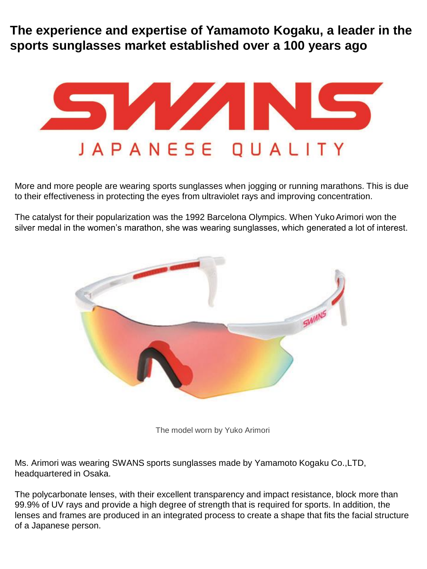**The experience and expertise of Yamamoto Kogaku, a leader in the sports sunglasses market established over a 100 years ago**



More and more people are wearing sports sunglasses when jogging or running marathons. This is due to their effectiveness in protecting the eyes from ultraviolet rays and improving concentration.

The catalyst for their popularization was the 1992 Barcelona Olympics. When Yuko Arimori won the silver medal in the women's marathon, she was wearing sunglasses, which generated a lot of interest.



The model worn by Yuko Arimori

Ms. Arimori was wearing SWANS sports sunglasses made by Yamamoto Kogaku Co.,LTD, headquartered in Osaka.

The polycarbonate lenses, with their excellent transparency and impact resistance, block more than 99.9% of UV rays and provide a high degree of strength that is required for sports. In addition, the lenses and frames are produced in an integrated process to create a shape that fits the facial structure of a Japanese person.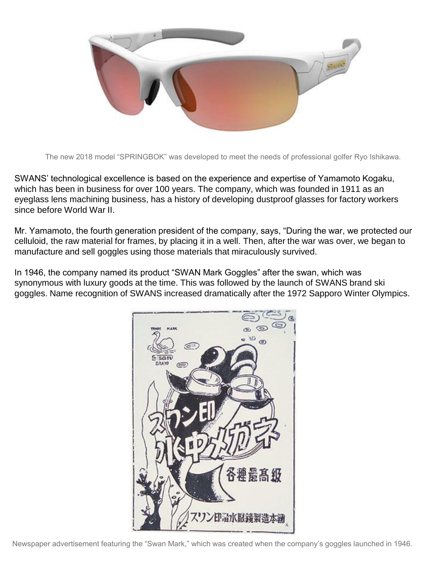

The new 2018 model "SPRINGBOK" was developed to meet the needs of professional golfer Ryo Ishikawa.

SWANS' technological excellence is based on the experience and expertise of Yamamoto Kogaku, which has been in business for over 100 years. The company, which was founded in 1911 as an eyeglass lens machining business, has a history of developing dustproof glasses for factory workers since before World War II.

Mr. Yamamoto, the fourth generation president of the company, says, "During the war, we protected our celluloid, the raw material for frames, by placing it in a well. Then, after the war was over, we began to manufacture and sell goggles using those materials that miraculously survived.

In 1946, the company named its product "SWAN Mark Goggles" after the swan, which was synonymous with luxury goods at the time. This was followed by the launch of SWANS brand ski goggles. Name recognition of SWANS increased dramatically after the 1972 Sapporo Winter Olympics.

![](_page_1_Picture_5.jpeg)

Newspaper advertisement featuring the "Swan Mark," which was created when the company's goggles launched in 1946.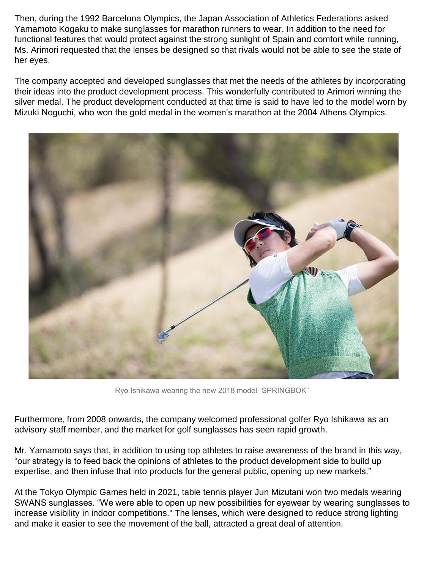Then, during the 1992 Barcelona Olympics, the Japan Association of Athletics Federations asked Yamamoto Kogaku to make sunglasses for marathon runners to wear. In addition to the need for functional features that would protect against the strong sunlight of Spain and comfort while running, Ms. Arimori requested that the lenses be designed so that rivals would not be able to see the state of her eyes.

The company accepted and developed sunglasses that met the needs of the athletes by incorporating their ideas into the product development process. This wonderfully contributed to Arimori winning the silver medal. The product development conducted at that time is said to have led to the model worn by Mizuki Noguchi, who won the gold medal in the women's marathon at the 2004 Athens Olympics.

![](_page_2_Picture_2.jpeg)

Ryo Ishikawa wearing the new 2018 model "SPRINGBOK"

Furthermore, from 2008 onwards, the company welcomed professional golfer Ryo Ishikawa as an advisory staff member, and the market for golf sunglasses has seen rapid growth.

Mr. Yamamoto says that, in addition to using top athletes to raise awareness of the brand in this way, "our strategy is to feed back the opinions of athletes to the product development side to build up expertise, and then infuse that into products for the general public, opening up new markets."

At the Tokyo Olympic Games held in 2021, table tennis player Jun Mizutani won two medals wearing SWANS sunglasses. "We were able to open up new possibilities for eyewear by wearing sunglasses to increase visibility in indoor competitions." The lenses, which were designed to reduce strong lighting and make it easier to see the movement of the ball, attracted a great deal of attention.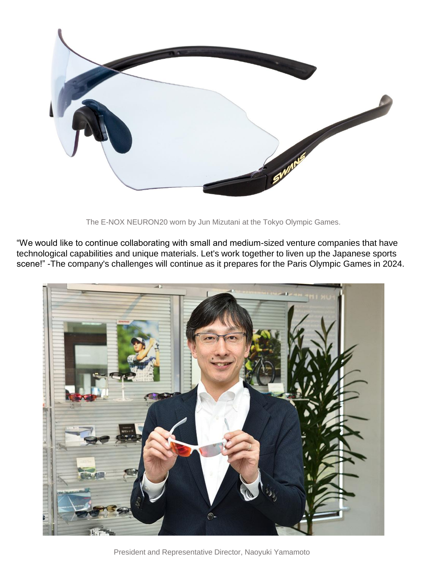![](_page_3_Picture_0.jpeg)

The E-NOX NEURON20 worn by Jun Mizutani at the Tokyo Olympic Games.

"We would like to continue collaborating with small and medium-sized venture companies that have technological capabilities and unique materials. Let's work together to liven up the Japanese sports scene!" -The company's challenges will continue as it prepares for the Paris Olympic Games in 2024.

![](_page_3_Picture_3.jpeg)

President and Representative Director, Naoyuki Yamamoto